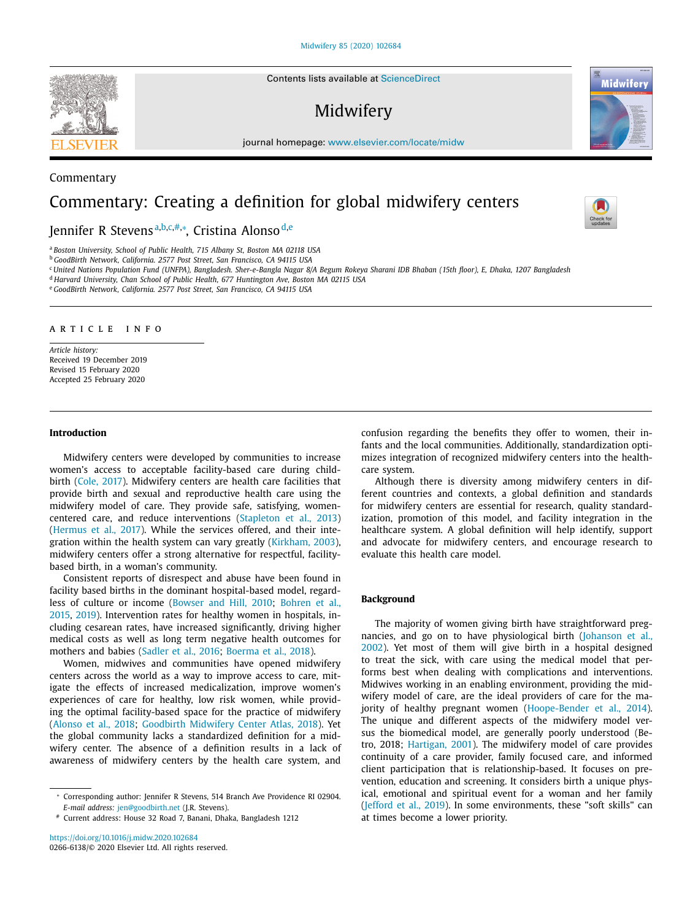#### Midwifery 85 (2020) 102684

Contents lists available at ScienceDirect

# Midwifery

journal homepage: www.elsevier.com/locate/midw

# Commentary: Creating a definition for global midwifery centers

Jennifer R Stevensª<sup>,b,c,#,</sup>\*, Cristina Alonso<sup>d,e</sup>

<sup>a</sup> *Boston University, School of Public Health, 715 Albany St, Boston MA 02118 USA*

<sup>b</sup> *GoodBirth Network, California. 2577 Post Street, San Francisco, CA 94115 USA*

<sup>c</sup> United Nations Population Fund (UNFPA), Bangladesh. Sher-e-Bangla Nagar 8/A Begum Rokeya Sharani IDB Bhaban (15th floor), E, Dhaka, 1207 Bangladesh

<sup>d</sup> *Harvard University, Chan School of Public Health, 677 Huntington Ave, Boston MA 02115 USA*

<sup>e</sup> *GoodBirth Network, California. 2577 Post Street, San Francisco, CA 94115 USA*

#### a r t i c l e i n f o

*Article history:* Received 19 December 2019 Revised 15 February 2020 Accepted 25 February 2020

#### **Introduction**

Midwifery centers were developed by communities to increase women's access to acceptable facility-based care during childbirth (Cole, 2017). Midwifery centers are health care facilities that provide birth and sexual and reproductive health care using the midwifery model of care. They provide safe, satisfying, womencentered care, and reduce interventions (Stapleton et al., 2013) (Hermus et al., 2017). While the services offered, and their integration within the health system can vary greatly (Kirkham, 2003), midwifery centers offer a strong alternative for respectful, facilitybased birth, in a woman's community.

Consistent reports of disrespect and abuse have been found in facility based births in the dominant hospital-based model, regardless of culture or income (Bowser and Hill, 2010; Bohren et al., 2015, 2019). Intervention rates for healthy women in hospitals, including cesarean rates, have increased significantly, driving higher medical costs as well as long term negative health outcomes for mothers and babies (Sadler et al., 2016; Boerma et al., 2018).

Women, midwives and communities have opened midwifery centers across the world as a way to improve access to care, mitigate the effects of increased medicalization, improve women's experiences of care for healthy, low risk women, while providing the optimal facility-based space for the practice of midwifery (Alonso et al., 2018; Goodbirth Midwifery Center Atlas, 2018). Yet the global community lacks a standardized definition for a midwifery center. The absence of a definition results in a lack of awareness of midwifery centers by the health care system, and

https://doi.org/10.1016/j.midw.2020.102684 0266-6138/© 2020 Elsevier Ltd. All rights reserved. confusion regarding the benefits they offer to women, their infants and the local communities. Additionally, standardization optimizes integration of recognized midwifery centers into the healthcare system.

Although there is diversity among midwifery centers in different countries and contexts, a global definition and standards for midwifery centers are essential for research, quality standardization, promotion of this model, and facility integration in the healthcare system. A global definition will help identify, support and advocate for midwifery centers, and encourage research to evaluate this health care model.

# **Background**

The majority of women giving birth have straightforward pregnancies, and go on to have physiological birth (Johanson et al., 2002). Yet most of them will give birth in a hospital designed to treat the sick, with care using the medical model that performs best when dealing with complications and interventions. Midwives working in an enabling environment, providing the midwifery model of care, are the ideal providers of care for the majority of healthy pregnant women (Hoope-Bender et al., 2014). The unique and different aspects of the midwifery model versus the biomedical model, are generally poorly understood (Betro, 2018; Hartigan, 2001). The midwifery model of care provides continuity of a care provider, family focused care, and informed client participation that is relationship-based. It focuses on prevention, education and screening. It considers birth a unique physical, emotional and spiritual event for a woman and her family (Jefford et al., 2019). In some environments, these "soft skills" can at times become a lower priority.



Commentary



Midwifer

<sup>∗</sup> Corresponding author: Jennifer R Stevens, 514 Branch Ave Providence RI 02904. *E-mail address:* jen@goodbirth.net (J.R. Stevens).

<sup>#</sup> Current address: House 32 Road 7, Banani, Dhaka, Bangladesh 1212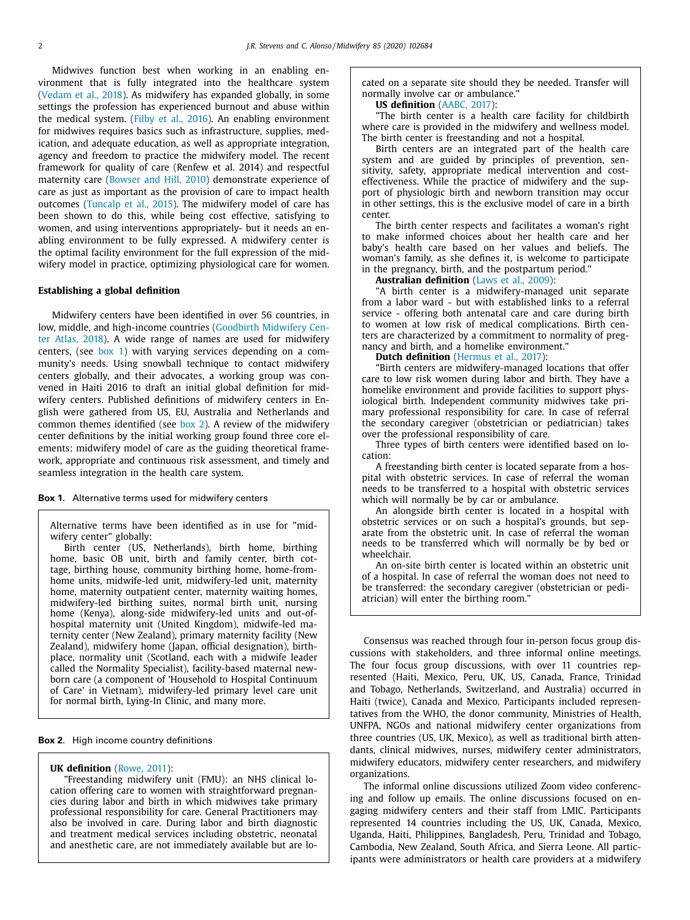Midwives function best when working in an enabling environment that is fully integrated into the healthcare system (Vedam et al., 2018). As midwifery has expanded globally, in some settings the profession has experienced burnout and abuse within the medical system. (Filby et al., 2016). An enabling environment for midwives requires basics such as infrastructure, supplies, medication, and adequate education, as well as appropriate integration, agency and freedom to practice the midwifery model. The recent framework for quality of care (Renfew et al. 2014) and respectful maternity care (Bowser and Hill, 2010) demonstrate experience of care as just as important as the provision of care to impact health outcomes (Tuncalp et al., 2015). The midwifery model of care has been shown to do this, while being cost effective, satisfying to women, and using interventions appropriately- but it needs an enabling environment to be fully expressed. A midwifery center is the optimal facility environment for the full expression of the midwifery model in practice, optimizing physiological care for women.

#### **Establishing a global definition**

Midwifery centers have been identified in over 56 countries, in low, middle, and high-income countries (Goodbirth Midwifery Center Atlas, 2018). A wide range of names are used for midwifery centers, (see box 1) with varying services depending on a community's needs. Using snowball technique to contact midwifery centers globally, and their advocates, a working group was convened in Haiti 2016 to draft an initial global definition for midwifery centers. Published definitions of midwifery centers in English were gathered from US, EU, Australia and Netherlands and common themes identified (see box 2). A review of the midwifery center definitions by the initial working group found three core elements: midwifery model of care as the guiding theoretical framework, appropriate and continuous risk assessment, and timely and seamless integration in the health care system.

#### **Box 1**. Alternative terms used for midwifery centers

Alternative terms have been identified as in use for "midwifery center" globally:

Birth center (US, Netherlands), birth home, birthing home, basic OB unit, birth and family center, birth cottage, birthing house, community birthing home, home-fromhome units, midwife-led unit, midwifery-led unit, maternity home, maternity outpatient center, maternity waiting homes, midwifery-led birthing suites, normal birth unit, nursing home (Kenya), along-side midwifery-led units and out-ofhospital maternity unit (United Kingdom), midwife-led maternity center (New Zealand), primary maternity facility (New Zealand), midwifery home (Japan, official designation), birthplace, normality unit (Scotland, each with a midwife leader called the Normality Specialist), facility-based maternal newborn care (a component of 'Household to Hospital Continuum of Care' in Vietnam), midwifery-led primary level care unit for normal birth, Lying-In Clinic, and many more.

### **Box 2**. High income country definitions

### **UK definition** (Rowe, 2011):

"Freestanding midwifery unit (FMU): an NHS clinical location offering care to women with straightforward pregnancies during labor and birth in which midwives take primary professional responsibility for care. General Practitioners may also be involved in care. During labor and birth diagnostic and treatment medical services including obstetric, neonatal and anesthetic care, are not immediately available but are lo-

cated on a separate site should they be needed. Transfer will normally involve car or ambulance."

# **US definition** (AABC, 2017):

"The birth center is a health care facility for childbirth where care is provided in the midwifery and wellness model. The birth center is freestanding and not a hospital.

Birth centers are an integrated part of the health care system and are guided by principles of prevention, sensitivity, safety, appropriate medical intervention and costeffectiveness. While the practice of midwifery and the support of physiologic birth and newborn transition may occur in other settings, this is the exclusive model of care in a birth center.

The birth center respects and facilitates a woman's right to make informed choices about her health care and her baby's health care based on her values and beliefs. The woman's family, as she defines it, is welcome to participate in the pregnancy, birth, and the postpartum period."

#### **Australian definition** (Laws et al., 2009):

"A birth center is a midwifery-managed unit separate from a labor ward - but with established links to a referral service - offering both antenatal care and care during birth to women at low risk of medical complications. Birth centers are characterized by a commitment to normality of pregnancy and birth, and a homelike environment."

#### **Dutch definition** (Hermus et al., 2017):

"Birth centers are midwifery-managed locations that offer care to low risk women during labor and birth. They have a homelike environment and provide facilities to support physiological birth. Independent community midwives take primary professional responsibility for care. In case of referral the secondary caregiver (obstetrician or pediatrician) takes over the professional responsibility of care.

Three types of birth centers were identified based on location:

A freestanding birth center is located separate from a hospital with obstetric services. In case of referral the woman needs to be transferred to a hospital with obstetric services which will normally be by car or ambulance.

An alongside birth center is located in a hospital with obstetric services or on such a hospital's grounds, but separate from the obstetric unit. In case of referral the woman needs to be transferred which will normally be by bed or wheelchair.

An on-site birth center is located within an obstetric unit of a hospital. In case of referral the woman does not need to be transferred: the secondary caregiver (obstetrician or pediatrician) will enter the birthing room."

Consensus was reached through four in-person focus group discussions with stakeholders, and three informal online meetings. The four focus group discussions, with over 11 countries represented (Haiti, Mexico, Peru, UK, US, Canada, France, Trinidad and Tobago, Netherlands, Switzerland, and Australia) occurred in Haiti (twice), Canada and Mexico. Participants included representatives from the WHO, the donor community, Ministries of Health, UNFPA, NGOs and national midwifery center organizations from three countries (US, UK, Mexico), as well as traditional birth attendants, clinical midwives, nurses, midwifery center administrators, midwifery educators, midwifery center researchers, and midwifery organizations.

The informal online discussions utilized Zoom video conferencing and follow up emails. The online discussions focused on engaging midwifery centers and their staff from LMIC. Participants represented 14 countries including the US, UK, Canada, Mexico, Uganda, Haiti, Philippines, Bangladesh, Peru, Trinidad and Tobago, Cambodia, New Zealand, South Africa, and Sierra Leone. All participants were administrators or health care providers at a midwifery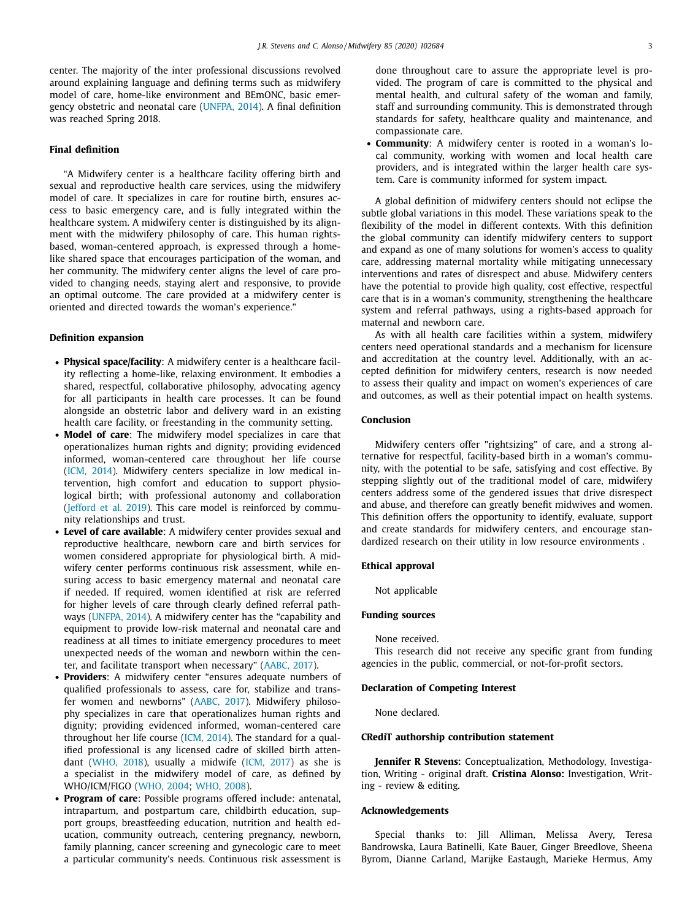center. The majority of the inter professional discussions revolved around explaining language and defining terms such as midwifery model of care, home-like environment and BEmONC, basic emergency obstetric and neonatal care (UNFPA, 2014). A final definition was reached Spring 2018.

#### **Final definition**

"A Midwifery center is a healthcare facility offering birth and sexual and reproductive health care services, using the midwifery model of care. It specializes in care for routine birth, ensures access to basic emergency care, and is fully integrated within the healthcare system. A midwifery center is distinguished by its alignment with the midwifery philosophy of care. This human rightsbased, woman-centered approach, is expressed through a homelike shared space that encourages participation of the woman, and her community. The midwifery center aligns the level of care provided to changing needs, staying alert and responsive, to provide an optimal outcome. The care provided at a midwifery center is oriented and directed towards the woman's experience."

## **Definition expansion**

- **Physical space/facility**: A midwifery center is a healthcare facility reflecting a home-like, relaxing environment. It embodies a shared, respectful, collaborative philosophy, advocating agency for all participants in health care processes. It can be found alongside an obstetric labor and delivery ward in an existing health care facility, or freestanding in the community setting.
- **Model of care**: The midwifery model specializes in care that operationalizes human rights and dignity; providing evidenced informed, woman-centered care throughout her life course (ICM, 2014). Midwifery centers specialize in low medical intervention, high comfort and education to support physiological birth; with professional autonomy and collaboration (Jefford et al. 2019). This care model is reinforced by community relationships and trust.
- **Level of care available**: A midwifery center provides sexual and reproductive healthcare, newborn care and birth services for women considered appropriate for physiological birth. A midwifery center performs continuous risk assessment, while ensuring access to basic emergency maternal and neonatal care if needed. If required, women identified at risk are referred for higher levels of care through clearly defined referral pathways (UNFPA, 2014). A midwifery center has the "capability and equipment to provide low-risk maternal and neonatal care and readiness at all times to initiate emergency procedures to meet unexpected needs of the woman and newborn within the center, and facilitate transport when necessary" (AABC, 2017).
- **Providers:** A midwifery center "ensures adequate numbers of qualified professionals to assess, care for, stabilize and transfer women and newborns" (AABC, 2017). Midwifery philosophy specializes in care that operationalizes human rights and dignity; providing evidenced informed, woman-centered care throughout her life course (ICM, 2014). The standard for a qualified professional is any licensed cadre of skilled birth attendant (WHO, 2018), usually a midwife (ICM, 2017) as she is a specialist in the midwifery model of care, as defined by WHO/ICM/FIGO (WHO, 2004; WHO, 2008).
- **Program of care**: Possible programs offered include: antenatal, intrapartum, and postpartum care, childbirth education, support groups, breastfeeding education, nutrition and health education, community outreach, centering pregnancy, newborn, family planning, cancer screening and gynecologic care to meet a particular community's needs. Continuous risk assessment is

done throughout care to assure the appropriate level is provided. The program of care is committed to the physical and mental health, and cultural safety of the woman and family, staff and surrounding community. This is demonstrated through standards for safety, healthcare quality and maintenance, and compassionate care.

• **Community**: A midwifery center is rooted in a woman's local community, working with women and local health care providers, and is integrated within the larger health care system. Care is community informed for system impact.

A global definition of midwifery centers should not eclipse the subtle global variations in this model. These variations speak to the flexibility of the model in different contexts. With this definition the global community can identify midwifery centers to support and expand as one of many solutions for women's access to quality care, addressing maternal mortality while mitigating unnecessary interventions and rates of disrespect and abuse. Midwifery centers have the potential to provide high quality, cost effective, respectful care that is in a woman's community, strengthening the healthcare system and referral pathways, using a rights-based approach for maternal and newborn care.

As with all health care facilities within a system, midwifery centers need operational standards and a mechanism for licensure and accreditation at the country level. Additionally, with an accepted definition for midwifery centers, research is now needed to assess their quality and impact on women's experiences of care and outcomes, as well as their potential impact on health systems.

#### **Conclusion**

Midwifery centers offer "rightsizing" of care, and a strong alternative for respectful, facility-based birth in a woman's community, with the potential to be safe, satisfying and cost effective. By stepping slightly out of the traditional model of care, midwifery centers address some of the gendered issues that drive disrespect and abuse, and therefore can greatly benefit midwives and women. This definition offers the opportunity to identify, evaluate, support and create standards for midwifery centers, and encourage standardized research on their utility in low resource environments .

#### **Ethical approval**

Not applicable

#### **Funding sources**

None received.

This research did not receive any specific grant from funding agencies in the public, commercial, or not-for-profit sectors.

#### **Declaration of Competing Interest**

None declared.

#### **CRediT authorship contribution statement**

**Jennifer R Stevens:** Conceptualization, Methodology, Investigation, Writing - original draft. **Cristina Alonso:** Investigation, Writing - review & editing.

#### **Acknowledgements**

Special thanks to: Jill Alliman, Melissa Avery, Teresa Bandrowska, Laura Batinelli, Kate Bauer, Ginger Breedlove, Sheena Byrom, Dianne Carland, Marijke Eastaugh, Marieke Hermus, Amy